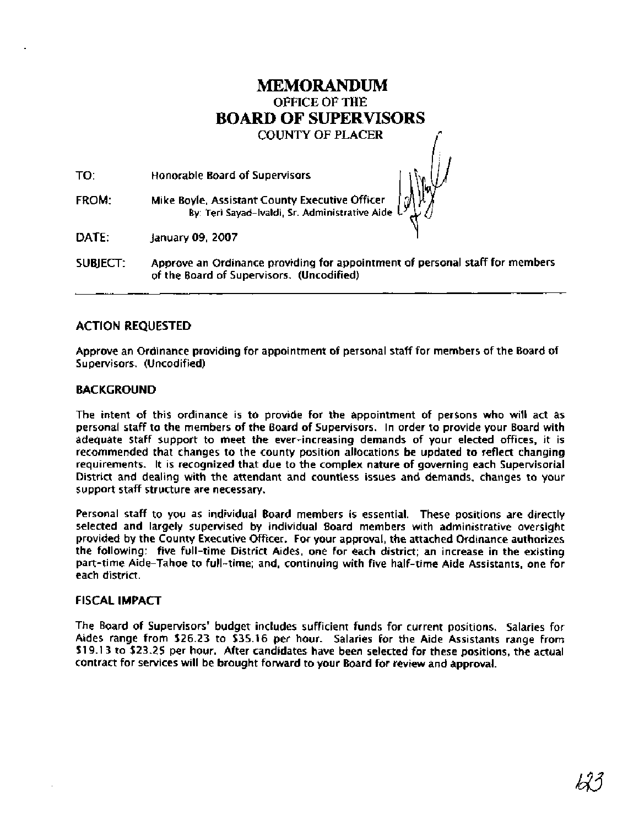## MEMORANDUM OFRCE OF THE **BOARD** OF **SUPERVISORS**

**COUNTY OF PLACER** 

| TO:      | Honorable Board of Supervisors                                                                                                                                                                                                                                                                                                                                                                              |
|----------|-------------------------------------------------------------------------------------------------------------------------------------------------------------------------------------------------------------------------------------------------------------------------------------------------------------------------------------------------------------------------------------------------------------|
| FROM:    | Mike Boyle, Assistant County Executive Officer $\bigcup_{k} \bigcup_{k} \bigcup_{k} \bigcup_{k} \bigcup_{k} \bigcup_{k} \bigcup_{k} \bigcup_{k} \bigcup_{k} \bigcup_{k} \bigcup_{k} \bigcup_{k} \bigcup_{k} \bigcup_{k} \bigcup_{k} \bigcup_{k} \bigcup_{k} \bigcup_{k} \bigcup_{k} \bigcup_{k} \bigcup_{k} \bigcup_{k} \bigcup_{k} \bigcup_{k} \bigcup_{k} \bigcup_{k} \bigcup_{k} \bigcup_{k} \bigcup_{k$ |
| DATE:    | January 09, 2007                                                                                                                                                                                                                                                                                                                                                                                            |
| SUBJECT: | Approve an Ordinance providing for appointment of personal staff for members<br>of the Board of Supervisors. (Uncodified)                                                                                                                                                                                                                                                                                   |

### **ACTION REQUESTED**

Approve an Ordinance providing for appointment of personal staff for members of the Board of Supervisors. (Uncodified)

#### **BACKGROUND**

The intent of this ordinance is to provide for the appointment of persons who will act as personal staff to the members of the Board of Supervisors. In order to provide your Board with adequate staff support to meet the ever-increasing demands of your elected offices, it is recommended that changes to the county position allocations be updated to reflect changing requirements. It is recognized that due to the complex nature of governing each Supervisorial District and dealing with the attendant and countless issues and demands, changes to your support staff structure are necessary.

Personal staff to you as individual Board members is essential. These positions are directly selected and largely supervised by individual Board members with administrative oversight provided by the County Executive Officer. For your approval, the attached Ordinance authorizes the following: five full-time District Aides, one for each district; an increase in the existing part-time Aide-Tahoe to full-time; and, continuing with five half-time Aide Assistants, one for each district.

#### **FISCAL IMPACT**

The Board of Supervisors' budget includes sufficient funds for current positions. Salaries for Aides range from \$26.23 to \$35.16 per hour. Salaries for the Aide Assistants range from \$19.13 to \$23.25 per hour. After candidates have been selected for these positions, the actual contract for services will be brought forward to your Board for review and approval.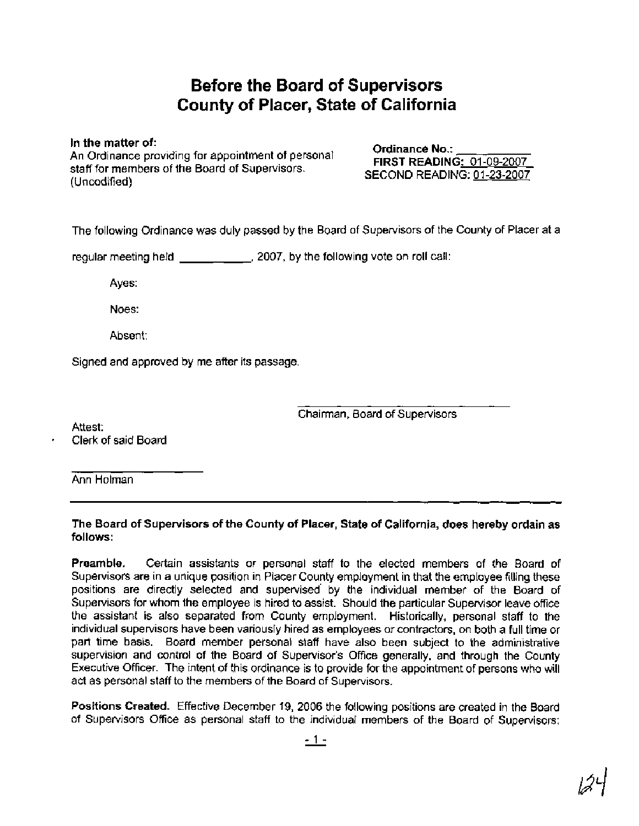# **Before the Board of Supervisors County of Placer, State of California**

**In the matter of:** 

An Ordinance providing for appointment of personal **Ordinance No.: \_\_\_\_\_\_\_\_\_\_\_\_\_\_\_**<br> **An Ordinance providing for appointment of personal FIRST READING: 01-09-2007** staff for members of the Board of Supervisors. stan for members of the Board of Supervisors.<br>(Uncodified) (Uncodified)

The following Ordinance was duly passed by the Board of Supervisors of the County of Placer at a

regular meeting held \_\_\_\_\_\_\_\_\_\_\_\_\_, 2007, by the following vote on roll call:

Ayes:

Noes:

Absent:

Signed and approved by me after its passage.

Chairman, Board of Supervisors

Attest: Clerk of said Board

Ann Holman

**The Board of Supervisors of the County of Placer, State of California, does hereby ordain as follows:** 

**Preamble.** Certain assistants or personal staff to the elected members of the Board of Supervisors are in a unique position in Placer County employment in that the employee filling these positions are directly selected and supervised' by the individual member of the Board of Supervisors for whom the employee is hired to assist. Should the particular Supervisor leave office the assistant is also separated from County employment. Historically, personal staff to the individual supervisors have been van'ously hired as employees or contractors, on both a full time or part time basis. Board member personal staff have also been subject to the administrative supervision and control of the Board of Supervisor's Office generally, and through the County Executive Officer. The intent of this ordinance is to provide for the appointment of persons who will act as personal staff to the members of the Board of Supervisors.

**Positions Created.** Effective December 19, 2006 the following positions are created in the Board of Supervisors Office as personal staff to the individual members of the Board of Supervisors: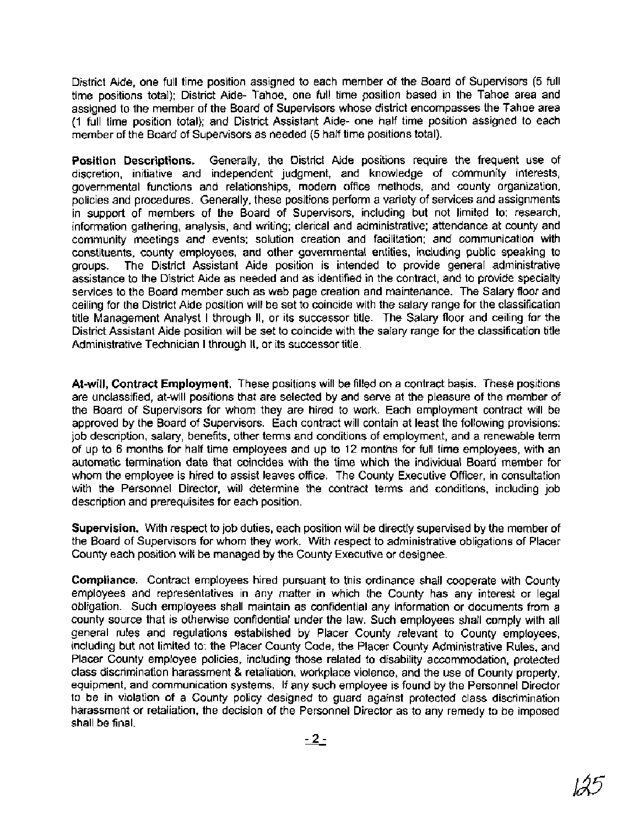District Aide, one full time position assigned to each member of the Board of Supervisors (5 full time positions total); District Aide- Tahoe, one full time position based in the Tahoe area and assigned to the member of the Board of Supervisors whose district encompasses the Tahoe area (1 full time position total); and District Assistant Aide- one half time position assigned to each member of the Board of Supervisors as needed (5 half time positions total).

**Position Descriptions.** Generally, the District Aide positions require the frequent use of discretion, initiative and independent judgment, and knowledge of community interests, governmental functions and relationships, modern office methods, and county organization, policies and procedures. Generally, these positions perform a variety of services and assignments in support of members of the Board of Supervisors, including but not limited to: research, information gathering, analysis, and writing; clerical and administrative; attendance at county and community meetings and events; solution creation and facilitation; and communication with constituents, county employees, and other governmental entities, including public speaking to groups. The District Assistant Aide position is intended to provide general administrative assistance to the District Aide as needed and as identified in the contract, and to provide specialty services to the Board member such as web page creation and maintenance. The Salary floor and ceiling for the District Aide position will be set to coincide with the salary range for the classification title Management Analyst I through II, or its successor title. The Salary floor and ceiling for the District Assistant Aide position will be set to coincide with the salary range for the classification title Administrative Technician I through II, or its successor title.

**At-will, Contract Employment.** These positions will be filled on a contract basis. These positions are unclassified, at-will positions that are selected by and serve at the pleasure of the member of the Board of Supervisors for whom they are hired to work. Each employment contract will be approved by the Board of Supervisors. Each contract will contain at least the following provisions: job description, salary, benefits, other terms and conditions of employment, and a renewable term of up to 6 months for half time employees and up to 12 months for full time employees, with an automatic termination date that coincides with the time which the individual Board member for whom the employee is hired to assist leaves office. The County Executive Officer, in consultation with the Personnel Director, will determine the contract terms and conditions, including job description and prerequisites for each position.

**Supervision.** With respect to job duties, each position will be directly supervised by the member of the Board of Supervisors for whom they work. With respect to administrative obligations of Placer County each position will be managed by the County Executive or designee.

**Compliance.** Contract employees hired pursuant to this ordinance shall cooperate with County employees and representatives in any matter in which the County has any interest or legal obligation. Such employees shall maintain as confidential any information or documents from a county source that is otherwise confidential under the law. Such employees shall comply with all general rules and regulations established by Placer County relevant to County employees, including but not limited to: the Placer County Code, the Placer County Administrative Rules, and Placer County employee policies, including those related to disability accommodation, protected class discrimination harassment & retaliation, workplace violence, and the use of County property, equipment, and communication systems. If any such employee is found by the Personnel Director to be in violation of a County policy designed to guard against protected class discrimination harassment or retaliation, the decision of the Personnel Director as to any remedy to be imposed shall be final. y such em<br>ed to gual<br><sup>2</sup>ersonnel<br>- <u>2 -</u>